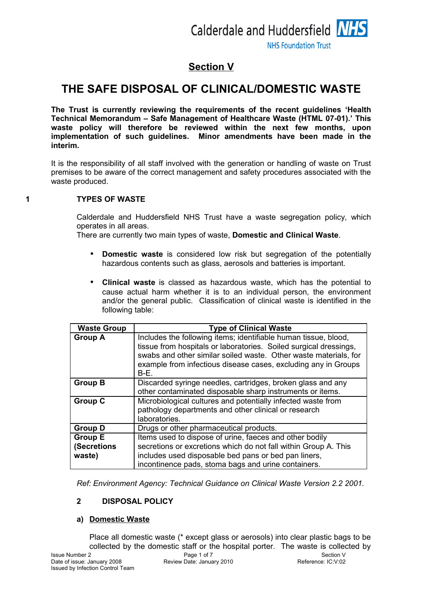# **Section V**

# **THE SAFE DISPOSAL OF CLINICAL/DOMESTIC WASTE**

**The Trust is currently reviewing the requirements of the recent guidelines 'Health Technical Memorandum – Safe Management of Healthcare Waste (HTML 07-01).' This waste policy will therefore be reviewed within the next few months, upon implementation of such guidelines. Minor amendments have been made in the interim.**

It is the responsibility of all staff involved with the generation or handling of waste on Trust premises to be aware of the correct management and safety procedures associated with the waste produced.

## **1 TYPES OF WASTE**

Calderdale and Huddersfield NHS Trust have a waste segregation policy, which operates in all areas.

There are currently two main types of waste, **Domestic and Clinical Waste**.

- **Domestic waste** is considered low risk but segregation of the potentially hazardous contents such as glass, aerosols and batteries is important.
- **Clinical waste** is classed as hazardous waste, which has the potential to cause actual harm whether it is to an individual person, the environment and/or the general public. Classification of clinical waste is identified in the following table:

| <b>Waste Group</b>                      | <b>Type of Clinical Waste</b>                                                                                                                                                                                                                                                        |
|-----------------------------------------|--------------------------------------------------------------------------------------------------------------------------------------------------------------------------------------------------------------------------------------------------------------------------------------|
| <b>Group A</b>                          | Includes the following items; identifiable human tissue, blood,<br>tissue from hospitals or laboratories. Soiled surgical dressings,<br>swabs and other similar soiled waste. Other waste materials, for<br>example from infectious disease cases, excluding any in Groups<br>$B-E.$ |
| <b>Group B</b>                          | Discarded syringe needles, cartridges, broken glass and any<br>other contaminated disposable sharp instruments or items.                                                                                                                                                             |
| <b>Group C</b>                          | Microbiological cultures and potentially infected waste from<br>pathology departments and other clinical or research<br>laboratories.                                                                                                                                                |
| <b>Group D</b>                          | Drugs or other pharmaceutical products.                                                                                                                                                                                                                                              |
| <b>Group E</b><br>(Secretions<br>waste) | Items used to dispose of urine, faeces and other bodily<br>secretions or excretions which do not fall within Group A. This<br>includes used disposable bed pans or bed pan liners,<br>incontinence pads, stoma bags and urine containers.                                            |

*Ref: Environment Agency: Technical Guidance on Clinical Waste Version 2.2 2001.*

# **2 DISPOSAL POLICY**

## **a) Domestic Waste**

Place all domestic waste (\* except glass or aerosols) into clear plastic bags to be collected by the domestic staff or the hospital porter. The waste is collected by

Review Date: January 2010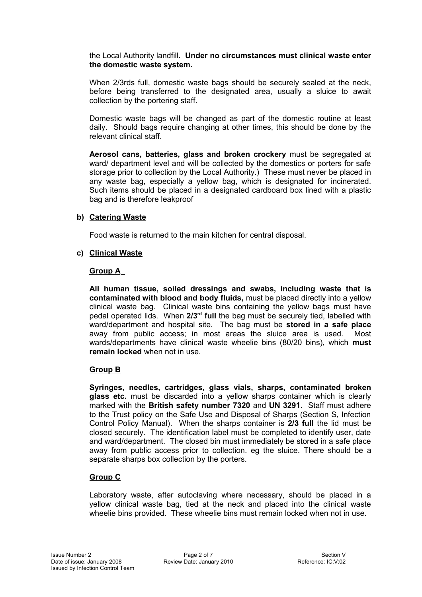the Local Authority landfill. **Under no circumstances must clinical waste enter the domestic waste system.**

When 2/3rds full, domestic waste bags should be securely sealed at the neck, before being transferred to the designated area, usually a sluice to await collection by the portering staff.

Domestic waste bags will be changed as part of the domestic routine at least daily. Should bags require changing at other times, this should be done by the relevant clinical staff.

**Aerosol cans, batteries, glass and broken crockery** must be segregated at ward/ department level and will be collected by the domestics or porters for safe storage prior to collection by the Local Authority.) These must never be placed in any waste bag, especially a yellow bag, which is designated for incinerated. Such items should be placed in a designated cardboard box lined with a plastic bag and is therefore leakproof

## **b) Catering Waste**

Food waste is returned to the main kitchen for central disposal.

## **c) Clinical Waste**

## **Group A**

**All human tissue, soiled dressings and swabs, including waste that is contaminated with blood and body fluids,** must be placed directly into a yellow clinical waste bag. Clinical waste bins containing the yellow bags must have pedal operated lids. When **2/3rd full** the bag must be securely tied, labelled with ward/department and hospital site. The bag must be **stored in a safe place** away from public access; in most areas the sluice area is used. Most wards/departments have clinical waste wheelie bins (80/20 bins), which **must remain locked** when not in use.

# **Group B**

**Syringes, needles, cartridges, glass vials, sharps, contaminated broken glass etc.** must be discarded into a yellow sharps container which is clearly marked with the **British safety number 7320** and **UN 3291**. Staff must adhere to the Trust policy on the Safe Use and Disposal of Sharps (Section S, Infection Control Policy Manual). When the sharps container is **2/3 full** the lid must be closed securely. The identification label must be completed to identify user, date and ward/department. The closed bin must immediately be stored in a safe place away from public access prior to collection. eg the sluice. There should be a separate sharps box collection by the porters.

# **Group C**

Laboratory waste, after autoclaving where necessary, should be placed in a yellow clinical waste bag, tied at the neck and placed into the clinical waste wheelie bins provided. These wheelie bins must remain locked when not in use.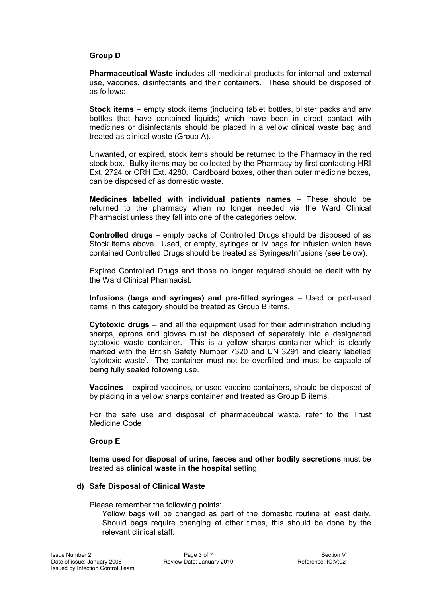## **Group D**

**Pharmaceutical Waste** includes all medicinal products for internal and external use, vaccines, disinfectants and their containers. These should be disposed of as follows:-

**Stock items** – empty stock items (including tablet bottles, blister packs and any bottles that have contained liquids) which have been in direct contact with medicines or disinfectants should be placed in a yellow clinical waste bag and treated as clinical waste (Group A).

Unwanted, or expired, stock items should be returned to the Pharmacy in the red stock box. Bulky items may be collected by the Pharmacy by first contacting HRI Ext. 2724 or CRH Ext. 4280. Cardboard boxes, other than outer medicine boxes, can be disposed of as domestic waste.

**Medicines labelled with individual patients names** – These should be returned to the pharmacy when no longer needed via the Ward Clinical Pharmacist unless they fall into one of the categories below.

**Controlled drugs** – empty packs of Controlled Drugs should be disposed of as Stock items above. Used, or empty, syringes or IV bags for infusion which have contained Controlled Drugs should be treated as Syringes/Infusions (see below).

Expired Controlled Drugs and those no longer required should be dealt with by the Ward Clinical Pharmacist.

**Infusions (bags and syringes) and pre-filled syringes** – Used or part-used items in this category should be treated as Group B items.

**Cytotoxic drugs** – and all the equipment used for their administration including sharps, aprons and gloves must be disposed of separately into a designated cytotoxic waste container. This is a yellow sharps container which is clearly marked with the British Safety Number 7320 and UN 3291 and clearly labelled 'cytotoxic waste'. The container must not be overfilled and must be capable of being fully sealed following use.

**Vaccines** – expired vaccines, or used vaccine containers, should be disposed of by placing in a yellow sharps container and treated as Group B items.

For the safe use and disposal of pharmaceutical waste, refer to the Trust Medicine Code

## **Group E**

**Items used for disposal of urine, faeces and other bodily secretions** must be treated as **clinical waste in the hospital** setting.

#### **d) Safe Disposal of Clinical Waste**

Please remember the following points:

Yellow bags will be changed as part of the domestic routine at least daily. Should bags require changing at other times, this should be done by the relevant clinical staff.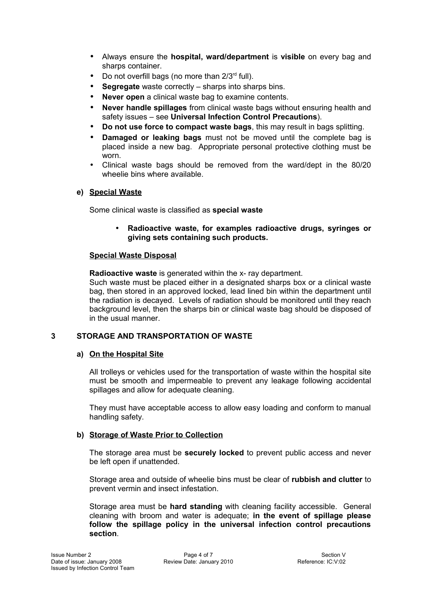- Always ensure the **hospital, ward/department** is **visible** on every bag and sharps container.
- Do not overfill bags (no more than  $2/3<sup>rd</sup>$  full).
- **Segregate** waste correctly sharps into sharps bins.
- **Never open** a clinical waste bag to examine contents.
- **Never handle spillages** from clinical waste bags without ensuring health and safety issues – see **Universal Infection Control Precautions**).
- **Do not use force to compact waste bags**, this may result in bags splitting.
- **Damaged or leaking bags** must not be moved until the complete bag is placed inside a new bag. Appropriate personal protective clothing must be worn.
- Clinical waste bags should be removed from the ward/dept in the 80/20 wheelie bins where available.

# **e) Special Waste**

Some clinical waste is classified as **special waste**

• **Radioactive waste, for examples radioactive drugs, syringes or giving sets containing such products.**

## **Special Waste Disposal**

**Radioactive waste** is generated within the x- ray department.

Such waste must be placed either in a designated sharps box or a clinical waste bag, then stored in an approved locked, lead lined bin within the department until the radiation is decayed. Levels of radiation should be monitored until they reach background level, then the sharps bin or clinical waste bag should be disposed of in the usual manner.

# **3 STORAGE AND TRANSPORTATION OF WASTE**

# **a) On the Hospital Site**

All trolleys or vehicles used for the transportation of waste within the hospital site must be smooth and impermeable to prevent any leakage following accidental spillages and allow for adequate cleaning.

They must have acceptable access to allow easy loading and conform to manual handling safety.

# **b) Storage of Waste Prior to Collection**

The storage area must be **securely locked** to prevent public access and never be left open if unattended.

Storage area and outside of wheelie bins must be clear of **rubbish and clutter** to prevent vermin and insect infestation.

Storage area must be **hard standing** with cleaning facility accessible. General cleaning with broom and water is adequate; **in the event of spillage please follow the spillage policy in the universal infection control precautions section**.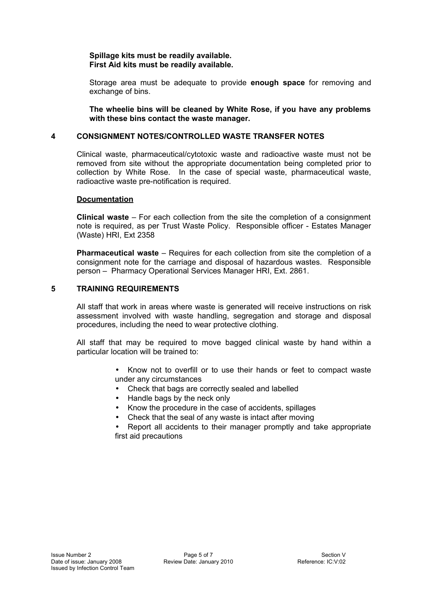## **Spillage kits must be readily available. First Aid kits must be readily available.**

Storage area must be adequate to provide **enough space** for removing and exchange of bins.

**The wheelie bins will be cleaned by White Rose, if you have any problems with these bins contact the waste manager.**

### **4 CONSIGNMENT NOTES/CONTROLLED WASTE TRANSFER NOTES**

Clinical waste, pharmaceutical/cytotoxic waste and radioactive waste must not be removed from site without the appropriate documentation being completed prior to collection by White Rose. In the case of special waste, pharmaceutical waste, radioactive waste pre-notification is required.

#### **Documentation**

**Clinical waste** – For each collection from the site the completion of a consignment note is required, as per Trust Waste Policy. Responsible officer - Estates Manager (Waste) HRI, Ext 2358

**Pharmaceutical waste** – Requires for each collection from site the completion of a consignment note for the carriage and disposal of hazardous wastes. Responsible person – Pharmacy Operational Services Manager HRI, Ext. 2861.

## **5 TRAINING REQUIREMENTS**

All staff that work in areas where waste is generated will receive instructions on risk assessment involved with waste handling, segregation and storage and disposal procedures, including the need to wear protective clothing.

All staff that may be required to move bagged clinical waste by hand within a particular location will be trained to:

- Know not to overfill or to use their hands or feet to compact waste under any circumstances
- Check that bags are correctly sealed and labelled
- Handle bags by the neck only
- Know the procedure in the case of accidents, spillages
- Check that the seal of any waste is intact after moving

• Report all accidents to their manager promptly and take appropriate first aid precautions